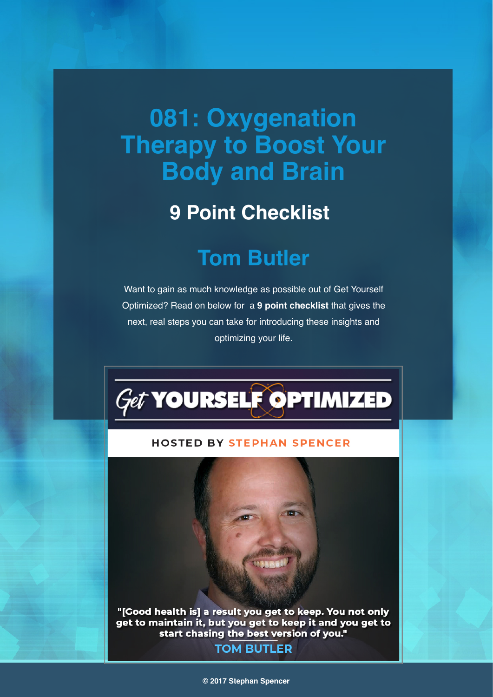# **081: Oxygenation Therapy to Boost Your Body and Brain**

### **9 Point Checklist**

## **Tom Butler**

Want to gain as much knowledge as possible out of Get Yourself Optimized? Read on below for a **9 point checklist** that gives the next, real steps you can take for introducing these insights and optimizing your life.



#### **HOSTED BY STEPHAN SPENCER**

"[Good health is] a result you get to keep. You not only get to maintain it, but you get to keep it and you get to start chasing the best version of you." **TOM BUTLER** 

#### **© 2017 Stephan Spencer**